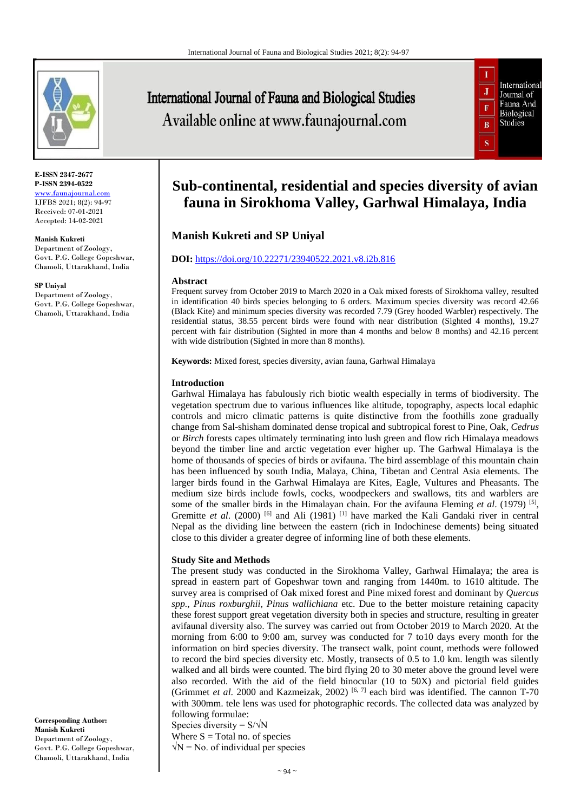

**E-ISSN 2347-2677 P-ISSN 2394-0522** [www.faunajournal.com](http://www.faunajournal.com/) IJFBS 2021; 8(2): 94-97 Received: 07-01-2021 Accepted: 14-02-2021

**Manish Kukreti**

Department of Zoology, Govt. P.G. College Gopeshwar, Chamoli, Uttarakhand, India

**SP Uniyal**

Department of Zoology, Govt. P.G. College Gopeshwar, Chamoli, Uttarakhand, India

**Corresponding Author: Manish Kukreti** Department of Zoology, Govt. P.G. College Gopeshwar, Chamoli, Uttarakhand, India

# **International Journal of Fauna and Biological Studies** Available online at www.faunajournal.com



# **Sub-continental, residential and species diversity of avian fauna in Sirokhoma Valley, Garhwal Himalaya, India**

# **Manish Kukreti and SP Uniyal**

# **DOI:** <https://doi.org/10.22271/23940522.2021.v8.i2b.816>

#### **Abstract**

Frequent survey from October 2019 to March 2020 in a Oak mixed forests of Sirokhoma valley, resulted in identification 40 birds species belonging to 6 orders. Maximum species diversity was record 42.66 (Black Kite) and minimum species diversity was recorded 7.79 (Grey hooded Warbler) respectively. The residential status, 38.55 percent birds were found with near distribution (Sighted 4 months), 19.27 percent with fair distribution (Sighted in more than 4 months and below 8 months) and 42.16 percent with wide distribution (Sighted in more than 8 months).

**Keywords:** Mixed forest, species diversity, avian fauna, Garhwal Himalaya

### **Introduction**

Garhwal Himalaya has fabulously rich biotic wealth especially in terms of biodiversity. The vegetation spectrum due to various influences like altitude, topography, aspects local edaphic controls and micro climatic patterns is quite distinctive from the foothills zone gradually change from Sal-shisham dominated dense tropical and subtropical forest to Pine, Oak*, Cedrus* or *Birch* forests capes ultimately terminating into lush green and flow rich Himalaya meadows beyond the timber line and arctic vegetation ever higher up. The Garhwal Himalaya is the home of thousands of species of birds or avifauna. The bird assemblage of this mountain chain has been influenced by south India, Malaya, China, Tibetan and Central Asia elements. The larger birds found in the Garhwal Himalaya are Kites, Eagle, Vultures and Pheasants. The medium size birds include fowls, cocks, woodpeckers and swallows, tits and warblers are some of the smaller birds in the Himalayan chain. For the avifauna Fleming *et al.* (1979)<sup>[5]</sup>, Gremitte et al. (2000)<sup>[6]</sup> and Ali (1981)<sup>[1]</sup> have marked the Kali Gandaki river in central Nepal as the dividing line between the eastern (rich in Indochinese dements) being situated close to this divider a greater degree of informing line of both these elements.

# **Study Site and Methods**

The present study was conducted in the Sirokhoma Valley, Garhwal Himalaya; the area is spread in eastern part of Gopeshwar town and ranging from 1440m. to 1610 altitude. The survey area is comprised of Oak mixed forest and Pine mixed forest and dominant by *Quercus spp., Pinus roxburghii, Pinus wallichiana* etc. Due to the better moisture retaining capacity these forest support great vegetation diversity both in species and structure, resulting in greater avifaunal diversity also. The survey was carried out from October 2019 to March 2020. At the morning from 6:00 to 9:00 am, survey was conducted for 7 to10 days every month for the information on bird species diversity. The transect walk, point count, methods were followed to record the bird species diversity etc. Mostly, transects of 0.5 to 1.0 km. length was silently walked and all birds were counted. The bird flying 20 to 30 meter above the ground level were also recorded. With the aid of the field binocular (10 to 50X) and pictorial field guides (Grimmet *et al*. 2000 and Kazmeizak, 2002) [6, 7] each bird was identified. The cannon T-70 with 300mm. tele lens was used for photographic records. The collected data was analyzed by following formulae:

Species diversity =  $S/\sqrt{N}$ Where  $S = Total$  no. of species  $\sqrt{N}$  = No. of individual per species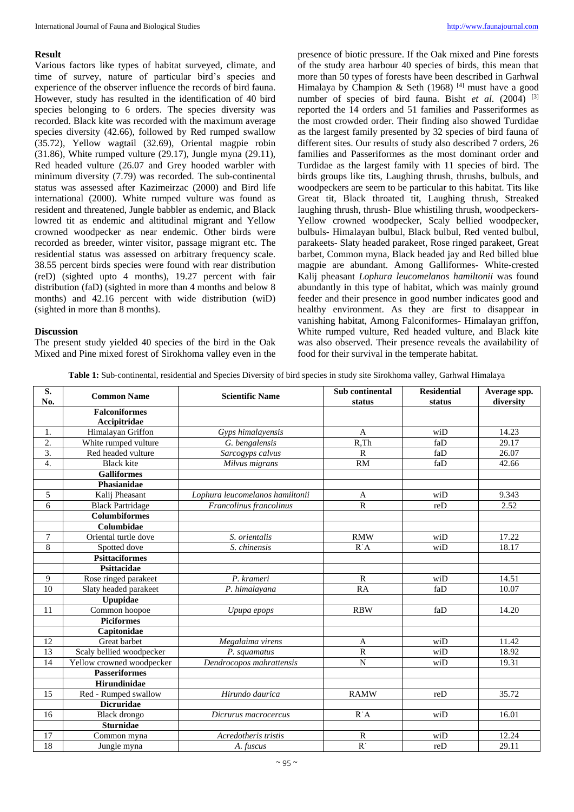#### **Result**

Various factors like types of habitat surveyed, climate, and time of survey, nature of particular bird's species and experience of the observer influence the records of bird fauna. However, study has resulted in the identification of 40 bird species belonging to 6 orders. The species diversity was recorded. Black kite was recorded with the maximum average species diversity (42.66), followed by Red rumped swallow (35.72), Yellow wagtail (32.69), Oriental magpie robin (31.86), White rumped vulture (29.17), Jungle myna (29.11), Red headed vulture (26.07 and Grey hooded warbler with minimum diversity (7.79) was recorded. The sub-continental status was assessed after Kazimeirzac (2000) and Bird life international (2000). White rumped vulture was found as resident and threatened, Jungle babbler as endemic, and Black lowred tit as endemic and altitudinal migrant and Yellow crowned woodpecker as near endemic. Other birds were recorded as breeder, winter visitor, passage migrant etc. The residential status was assessed on arbitrary frequency scale. 38.55 percent birds species were found with rear distribution (reD) (sighted upto 4 months), 19.27 percent with fair distribution (faD) (sighted in more than 4 months and below 8 months) and 42.16 percent with wide distribution (wiD) (sighted in more than 8 months).

# **Discussion**

The present study yielded 40 species of the bird in the Oak Mixed and Pine mixed forest of Sirokhoma valley even in the presence of biotic pressure. If the Oak mixed and Pine forests of the study area harbour 40 species of birds, this mean that more than 50 types of forests have been described in Garhwal Himalaya by Champion & Seth (1968)<sup>[4]</sup> must have a good number of species of bird fauna. Bisht *et al.* (2004) <sup>[3]</sup> reported the 14 orders and 51 families and Passeriformes as the most crowded order. Their finding also showed Turdidae as the largest family presented by 32 species of bird fauna of different sites. Our results of study also described 7 orders, 26 families and Passeriformes as the most dominant order and Turdidae as the largest family with 11 species of bird. The birds groups like tits, Laughing thrush, thrushs, bulbuls, and woodpeckers are seem to be particular to this habitat. Tits like Great tit, Black throated tit, Laughing thrush, Streaked laughing thrush, thrush- Blue whistiling thrush, woodpeckers-Yellow crowned woodpecker, Scaly bellied woodpecker, bulbuls- Himalayan bulbul, Black bulbul, Red vented bulbul, parakeets- Slaty headed parakeet, Rose ringed parakeet, Great barbet, Common myna, Black headed jay and Red billed blue magpie are abundant. Among Galliformes- White-crested Kalij pheasant *Lophura leucomelanos hamiltonii* was found abundantly in this type of habitat, which was mainly ground feeder and their presence in good number indicates good and healthy environment. As they are first to disappear in vanishing habitat, Among Falconiformes- Himalayan griffon, White rumped vulture, Red headed vulture, and Black kite was also observed. Their presence reveals the availability of food for their survival in the temperate habitat.

**Table 1:** Sub-continental, residential and Species Diversity of bird species in study site Sirokhoma valley, Garhwal Himalaya

| S.               |                           |                                 | Sub continental | <b>Residential</b> | Average spp. |
|------------------|---------------------------|---------------------------------|-----------------|--------------------|--------------|
| No.              | <b>Common Name</b>        | <b>Scientific Name</b>          | status          | status             | diversity    |
|                  | <b>Falconiformes</b>      |                                 |                 |                    |              |
|                  | Accipitridae              |                                 |                 |                    |              |
| 1.               | Himalayan Griffon         | Gyps himalayensis               | A               | wiD                | 14.23        |
| 2.               | White rumped vulture      | G. bengalensis                  | $R$ .Th         | faD                | 29.17        |
| 3.               | Red headed vulture        | Sarcogyps calvus                | $\overline{R}$  | faD                | 26.07        |
| $\overline{4}$ . | <b>Black kite</b>         | Milvus migrans                  | <b>RM</b>       | faD                | 42.66        |
|                  | <b>Galliformes</b>        |                                 |                 |                    |              |
|                  | Phasianidae               |                                 |                 |                    |              |
| 5                | Kalij Pheasant            | Lophura leucomelanos hamiltonii | $\overline{A}$  | wiD                | 9.343        |
| 6                | <b>Black Partridage</b>   | Francolinus francolinus         | $\overline{R}$  | reD                | 2.52         |
|                  | <b>Columbiformes</b>      |                                 |                 |                    |              |
|                  | Columbidae                |                                 |                 |                    |              |
| 7                | Oriental turtle dove      | S. orientalis                   | <b>RMW</b>      | wiD                | 17.22        |
| 8                | Spotted dove              | S. chinensis                    | $R^A$           | $w_i\overline{D}$  | 18.17        |
|                  | <b>Psittaciformes</b>     |                                 |                 |                    |              |
|                  | Psittacidae               |                                 |                 |                    |              |
| 9                | Rose ringed parakeet      | P. krameri                      | $\mathbb{R}$    | wiD                | 14.51        |
| 10               | Slaty headed parakeet     | P. himalayana                   | <b>RA</b>       | faD                | 10.07        |
|                  | Upupidae                  |                                 |                 |                    |              |
| 11               | Common hoopoe             | Upupa epops                     | <b>RBW</b>      | faD                | 14.20        |
|                  | <b>Piciformes</b>         |                                 |                 |                    |              |
|                  | Capitonidae               |                                 |                 |                    |              |
| 12               | Great barbet              | Megalaima virens                | A               | wiD                | 11.42        |
| 13               | Scaly bellied woodpecker  | P. squamatus                    | $\mathbb{R}$    | wiD                | 18.92        |
| 14               | Yellow crowned woodpecker | Dendrocopos mahrattensis        | $\overline{N}$  | wiD                | 19.31        |
|                  | <b>Passeriformes</b>      |                                 |                 |                    |              |
|                  | Hirundinidae              |                                 |                 |                    |              |
| 15               | Red - Rumped swallow      | Hirundo daurica                 | <b>RAMW</b>     | reD                | 35.72        |
|                  | <b>Dicruridae</b>         |                                 |                 |                    |              |
| 16               | <b>Black</b> drongo       | Dicrurus macrocercus            | R'A             | wiD                | 16.01        |
|                  | <b>Sturnidae</b>          |                                 |                 |                    |              |
| 17               | Common myna               | Acredotheris tristis            | $\mathbb{R}$    | wiD                | 12.24        |
| 18               | Jungle myna               | A. fuscus                       | $\overline{R}$  | reD                | 29.11        |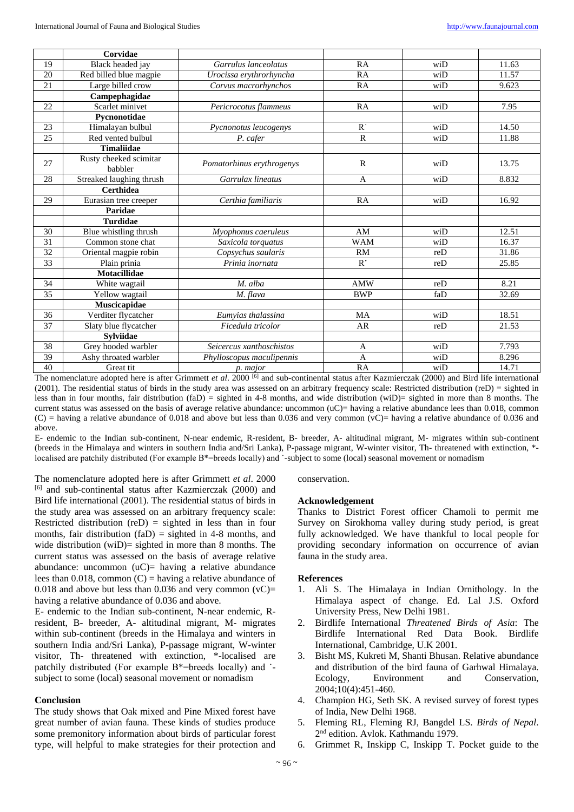|                 | Corvidae                          |                           |              |     |       |
|-----------------|-----------------------------------|---------------------------|--------------|-----|-------|
| 19              | Black headed jay                  | Garrulus lanceolatus      | RA           | wiD | 11.63 |
| 20              | Red billed blue magpie            | Urocissa erythrorhyncha   | RA           | wiD | 11.57 |
| 21              | Large billed crow                 | Corvus macrorhynchos      | RA           | wiD | 9.623 |
|                 | Campephagidae                     |                           |              |     |       |
| 22              | Scarlet minivet                   | Pericrocotus flammeus     | RA           | wiD | 7.95  |
|                 | Pycnonotidae                      |                           |              |     |       |
| 23              | Himalayan bulbul                  | Pycnonotus leucogenys     | $R$ .        | wiD | 14.50 |
| 25              | Red vented bulbul                 | P. cafer                  | $\mathbb{R}$ | wiD | 11.88 |
|                 | <b>Timaliidae</b>                 |                           |              |     |       |
| 27              | Rusty cheeked scimitar<br>babbler | Pomatorhinus erythrogenys | $\mathbf R$  | wiD | 13.75 |
| 28              | Streaked laughing thrush          | Garrulax lineatus         | $\mathbf{A}$ | wiD | 8.832 |
|                 | <b>Certhidea</b>                  |                           |              |     |       |
| 29              | Eurasian tree creeper             | Certhia familiaris        | RA           | wiD | 16.92 |
|                 | Paridae                           |                           |              |     |       |
|                 | <b>Turdidae</b>                   |                           |              |     |       |
| 30              | Blue whistling thrush             | Myophonus caeruleus       | AM           | wiD | 12.51 |
| 31              | Common stone chat                 | Saxicola torquatus        | <b>WAM</b>   | wiD | 16.37 |
| 32              | Oriental magpie robin             | Copsychus saularis        | RM           | reD | 31.86 |
| 33              | Plain prinia                      | Prinia inornata           | $R^{\cdot}$  | reD | 25.85 |
|                 | <b>Motacillidae</b>               |                           |              |     |       |
| $\overline{34}$ | White wagtail                     | M. alba                   | <b>AMW</b>   | reD | 8.21  |
| 35              | Yellow wagtail                    | M. flava                  | <b>BWP</b>   | faD | 32.69 |
|                 | Muscicapidae                      |                           |              |     |       |
| 36              | Verditer flycatcher               | Eumvias thalassina        | MA           | wiD | 18.51 |
| 37              | Slaty blue flycatcher             | Ficedula tricolor         | AR           | reD | 21.53 |
|                 | <b>Svlviidae</b>                  |                           |              |     |       |
| 38              | Grey hooded warbler               | Seicercus xanthoschistos  | A            | wiD | 7.793 |
| 39              | Ashy throated warbler             | Phylloscopus maculipennis | $\mathbf{A}$ | wiD | 8.296 |
| 40              | Great tit                         | p. major                  | RA           | wiD | 14.71 |

The nomenclature adopted here is after Grimmett *et al.* 2000<sup>[6]</sup> and sub-continental status after Kazmierczak (2000) and Bird life international (2001). The residential status of birds in the study area was assessed on an arbitrary frequency scale: Restricted distribution (reD) = sighted in less than in four months, fair distribution  $(faD) =$  sighted in 4-8 months, and wide distribution  $(wiD) =$  sighted in more than 8 months. The current status was assessed on the basis of average relative abundance: uncommon  $(uC)$ = having a relative abundance lees than 0.018, common  $(C)$  = having a relative abundance of 0.018 and above but less than 0.036 and very common  $(\overline{VC})$  = having a relative abundance of 0.036 and above.

E- endemic to the Indian sub-continent, N-near endemic, R-resident, B- breeder, A- altitudinal migrant, M- migrates within sub-continent (breeds in the Himalaya and winters in southern India and/Sri Lanka), P-passage migrant, W-winter visitor, Th- threatened with extinction, \* localised are patchily distributed (For example B\*=breeds locally) and '-subject to some (local) seasonal movement or nomadism

The nomenclature adopted here is after Grimmett *et al*. 2000 [6] and sub-continental status after Kazmierczak (2000) and Bird life international (2001). The residential status of birds in the study area was assessed on an arbitrary frequency scale: Restricted distribution (reD) = sighted in less than in four months, fair distribution (faD) = sighted in 4-8 months, and wide distribution (wiD)= sighted in more than 8 months. The current status was assessed on the basis of average relative abundance: uncommon  $(uC)$ = having a relative abundance lees than 0.018, common  $(C)$  = having a relative abundance of 0.018 and above but less than 0.036 and very common  $(vC)$ = having a relative abundance of 0.036 and above.

E- endemic to the Indian sub-continent, N-near endemic, Rresident, B- breeder, A- altitudinal migrant, M- migrates within sub-continent (breeds in the Himalaya and winters in southern India and/Sri Lanka), P-passage migrant, W-winter visitor, Th- threatened with extinction, \*-localised are patchily distributed (For example B\*=breeds locally) and ˙ subject to some (local) seasonal movement or nomadism

#### **Conclusion**

The study shows that Oak mixed and Pine Mixed forest have great number of avian fauna. These kinds of studies produce some premonitory information about birds of particular forest type, will helpful to make strategies for their protection and conservation.

#### **Acknowledgement**

Thanks to District Forest officer Chamoli to permit me Survey on Sirokhoma valley during study period, is great fully acknowledged. We have thankful to local people for providing secondary information on occurrence of avian fauna in the study area.

#### **References**

- 1. Ali S. The Himalaya in Indian Ornithology. In the Himalaya aspect of change. Ed. Lal J.S. Oxford University Press, New Delhi 1981.
- 2. Birdlife International *Threatened Birds of Asia*: The Birdlife International Red Data Book. Birdlife International, Cambridge, U.K 2001.
- 3. Bisht MS, Kukreti M, Shanti Bhusan. Relative abundance and distribution of the bird fauna of Garhwal Himalaya. Ecology, Environment and Conservation, 2004;10(4):451-460.
- 4. Champion HG, Seth SK. A revised survey of forest types of India, New Delhi 1968.
- 5. Fleming RL, Fleming RJ, Bangdel LS. *Birds of Nepal*. 2 nd edition. Avlok. Kathmandu 1979.
- 6. Grimmet R, Inskipp C, Inskipp T. Pocket guide to the